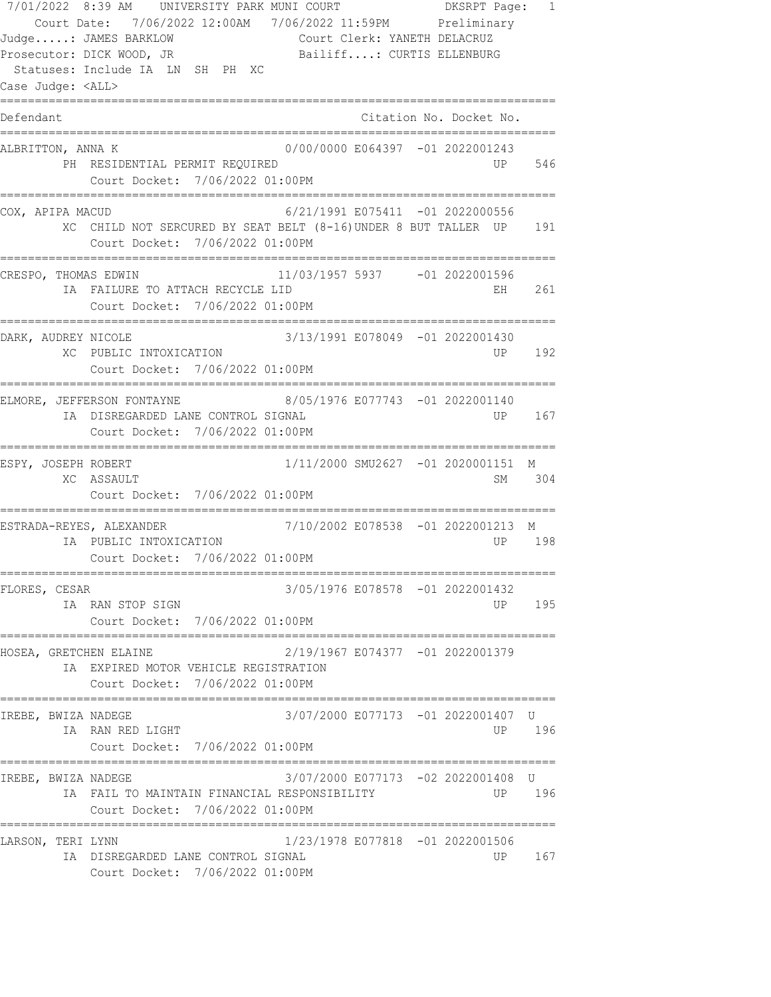7/01/2022 8:39 AM UNIVERSITY PARK MUNI COURT DKSRPT Page: 1 Court Date: 7/06/2022 12:00AM 7/06/2022 11:59PM Preliminary Judge.....: JAMES BARKLOW Court Clerk: YANETH DELACRUZ Prosecutor: DICK WOOD, JR Bailiff....: CURTIS ELLENBURG Statuses: Include IA LN SH PH XC Case Judge: <ALL> ================================================================================ Defendant Citation No. Docket No. ================================================================================ ALBRITTON, ANNA K 0/00/0000 E064397 -01 2022001243 PH RESIDENTIAL PERMIT REQUIRED **1999** UP 546 Court Docket: 7/06/2022 01:00PM ================================================================================ COX, APIPA MACUD 6/21/1991 E075411 -01 2022000556 XC CHILD NOT SERCURED BY SEAT BELT (8-16)UNDER 8 BUT TALLER UP 191 Court Docket: 7/06/2022 01:00PM ================================================================================ CRESPO, THOMAS EDWIN 11/03/1957 5937 -01 2022001596 IA FAILURE TO ATTACH RECYCLE LID **EXAMPLE 10 CM 261** 261 Court Docket: 7/06/2022 01:00PM ================================================================================ DARK, AUDREY NICOLE 3/13/1991 E078049 -01 2022001430 XC PUBLIC INTOXICATION UP 192 Court Docket: 7/06/2022 01:00PM ================================================================================ ELMORE, JEFFERSON FONTAYNE 8/05/1976 E077743 -01 2022001140 IA DISREGARDED LANE CONTROL SIGNAL UP 167 Court Docket: 7/06/2022 01:00PM ================================================================================ ESPY, JOSEPH ROBERT 1/11/2000 SMU2627 -01 2020001151 M XC ASSAULT SM 304 Court Docket: 7/06/2022 01:00PM ================================================================================ ESTRADA-REYES, ALEXANDER 7/10/2002 E078538 -01 2022001213 M IA PUBLIC INTOXICATION UP 198 Court Docket: 7/06/2022 01:00PM ================================================================================ FLORES, CESAR 3/05/1976 E078578 -01 2022001432 IA RAN STOP SIGN UP 195 Court Docket: 7/06/2022 01:00PM ================================================================================ HOSEA, GRETCHEN ELAINE 2/19/1967 E074377 -01 2022001379 IA EXPIRED MOTOR VEHICLE REGISTRATION Court Docket: 7/06/2022 01:00PM ================================================================================ IREBE, BWIZA NADEGE 3/07/2000 E077173 -01 2022001407 U IA RAN RED LIGHT UP 196 Court Docket: 7/06/2022 01:00PM ================================================================================ IREBE, BWIZA NADEGE 3/07/2000 E077173 -02 2022001408 U IA FAIL TO MAINTAIN FINANCIAL RESPONSIBILITY THE SERVICE OF 196 Court Docket: 7/06/2022 01:00PM ================================================================================ LARSON, TERI LYNN 1/23/1978 E077818 -01 2022001506 IA DISREGARDED LANE CONTROL SIGNAL UP 167 Court Docket: 7/06/2022 01:00PM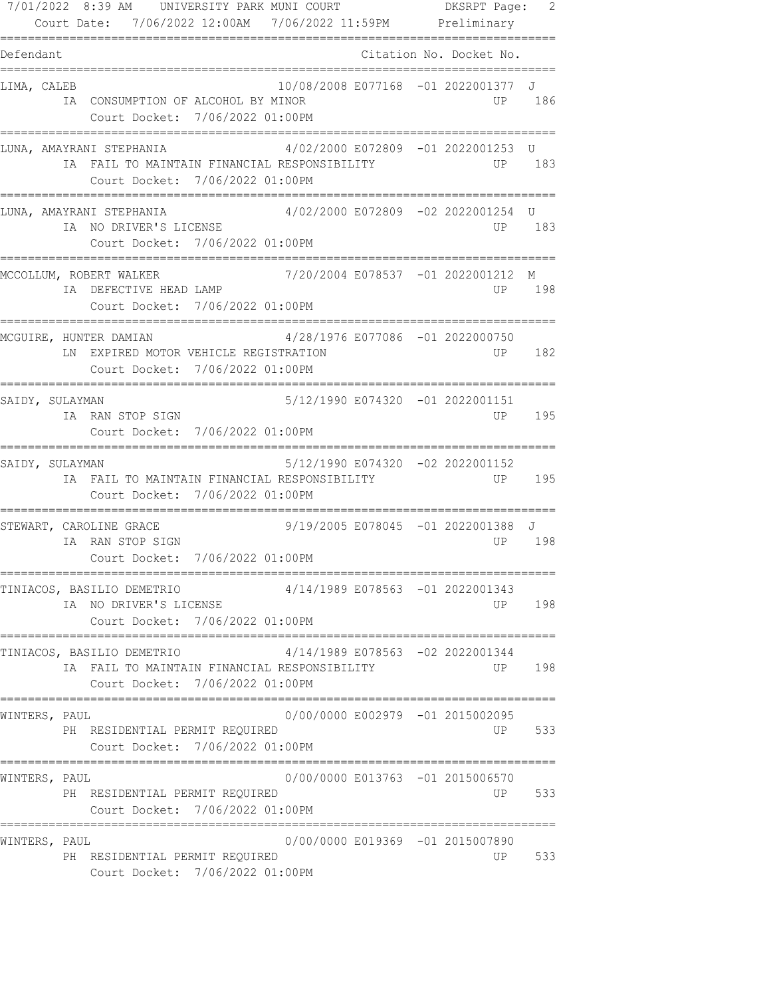| 7/01/2022 8:39 AM UNIVERSITY PARK MUNI COURT<br>Court Date: 7/06/2022 12:00AM 7/06/2022 11:59PM Preliminary                                |                                    | DKSRPT Page: 2<br>=========== |
|--------------------------------------------------------------------------------------------------------------------------------------------|------------------------------------|-------------------------------|
| Defendant                                                                                                                                  |                                    | Citation No. Docket No.       |
| LIMA, CALEB<br>IA CONSUMPTION OF ALCOHOL BY MINOR<br>Court Docket: 7/06/2022 01:00PM                                                       | 10/08/2008 E077168 -01 2022001377  | J<br>186<br>UP.               |
| LUNA, AMAYRANI STEPHANIA<br>IA FAIL TO MAINTAIN FINANCIAL RESPONSIBILITY<br>Court Docket: 7/06/2022 01:00PM                                | 4/02/2000 E072809 -01 2022001253   | U<br>183<br>UP .              |
| LUNA, AMAYRANI STEPHANIA<br>IA NO DRIVER'S LICENSE<br>Court Docket: 7/06/2022 01:00PM                                                      | 4/02/2000 E072809 -02 2022001254 U | 183<br>UP.                    |
| MCCOLLUM, ROBERT WALKER<br>IA DEFECTIVE HEAD LAMP<br>Court Docket: 7/06/2022 01:00PM                                                       | 7/20/2004 E078537 -01 2022001212   | М<br>198<br>UP.               |
| ;===================================<br>MCGUIRE, HUNTER DAMIAN<br>LN EXPIRED MOTOR VEHICLE REGISTRATION<br>Court Docket: 7/06/2022 01:00PM | 4/28/1976 E077086 -01 2022000750   | 182<br>UP.                    |
| SAIDY, SULAYMAN<br>IA RAN STOP SIGN<br>Court Docket: 7/06/2022 01:00PM<br>---------------------------                                      | 5/12/1990 E074320 -01 2022001151   | 195<br>UP.                    |
| SAIDY, SULAYMAN<br>IA FAIL TO MAINTAIN FINANCIAL RESPONSIBILITY<br>Court Docket: 7/06/2022 01:00PM                                         | 5/12/1990 E074320 -02 2022001152   | 195<br>UP.                    |
| STEWART, CAROLINE GRACE<br>IA RAN STOP SIGN<br>Court Docket: 7/06/2022 01:00PM                                                             | 9/19/2005 E078045 -01 2022001388 J | 198<br>UP.                    |
| TINIACOS, BASILIO DEMETRIO<br>IA NO DRIVER'S LICENSE<br>Court Docket: 7/06/2022 01:00PM                                                    | 4/14/1989 E078563 -01 2022001343   | 198<br>UP D                   |
| TINIACOS, BASILIO DEMETRIO<br>IA FAIL TO MAINTAIN FINANCIAL RESPONSIBILITY<br>Court Docket: 7/06/2022 01:00PM                              | 4/14/1989 E078563 -02 2022001344   | 198<br>UP                     |
| WINTERS, PAUL<br>PH RESIDENTIAL PERMIT REQUIRED<br>Court Docket: 7/06/2022 01:00PM                                                         | 0/00/0000 E002979 -01 2015002095   | 533<br>UP D                   |
| WINTERS, PAUL<br>PH RESIDENTIAL PERMIT REQUIRED<br>Court Docket: 7/06/2022 01:00PM                                                         | 0/00/0000 E013763 -01 2015006570   | 533<br>UP D                   |
| WINTERS, PAUL<br>PH RESIDENTIAL PERMIT REQUIRED<br>Court Docket: 7/06/2022 01:00PM                                                         | 0/00/0000 E019369 -01 2015007890   | 533<br>UP                     |